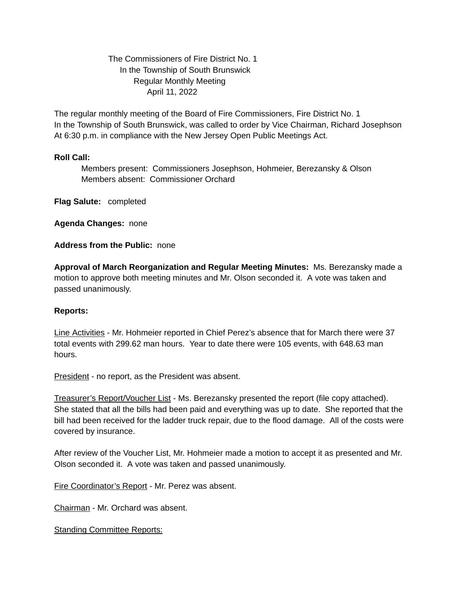The Commissioners of Fire District No. 1 In the Township of South Brunswick Regular Monthly Meeting April 11, 2022

The regular monthly meeting of the Board of Fire Commissioners, Fire District No. 1 In the Township of South Brunswick, was called to order by Vice Chairman, Richard Josephson At 6:30 p.m. in compliance with the New Jersey Open Public Meetings Act.

## **Roll Call:**

Members present: Commissioners Josephson, Hohmeier, Berezansky & Olson Members absent: Commissioner Orchard

**Flag Salute:** completed

**Agenda Changes:** none

**Address from the Public:** none

**Approval of March Reorganization and Regular Meeting Minutes:** Ms. Berezansky made a motion to approve both meeting minutes and Mr. Olson seconded it. A vote was taken and passed unanimously.

## **Reports:**

Line Activities - Mr. Hohmeier reported in Chief Perez's absence that for March there were 37 total events with 299.62 man hours. Year to date there were 105 events, with 648.63 man hours.

President - no report, as the President was absent.

Treasurer's Report/Voucher List - Ms. Berezansky presented the report (file copy attached). She stated that all the bills had been paid and everything was up to date. She reported that the bill had been received for the ladder truck repair, due to the flood damage. All of the costs were covered by insurance.

After review of the Voucher List, Mr. Hohmeier made a motion to accept it as presented and Mr. Olson seconded it. A vote was taken and passed unanimously.

Fire Coordinator's Report - Mr. Perez was absent.

Chairman - Mr. Orchard was absent.

**Standing Committee Reports:**